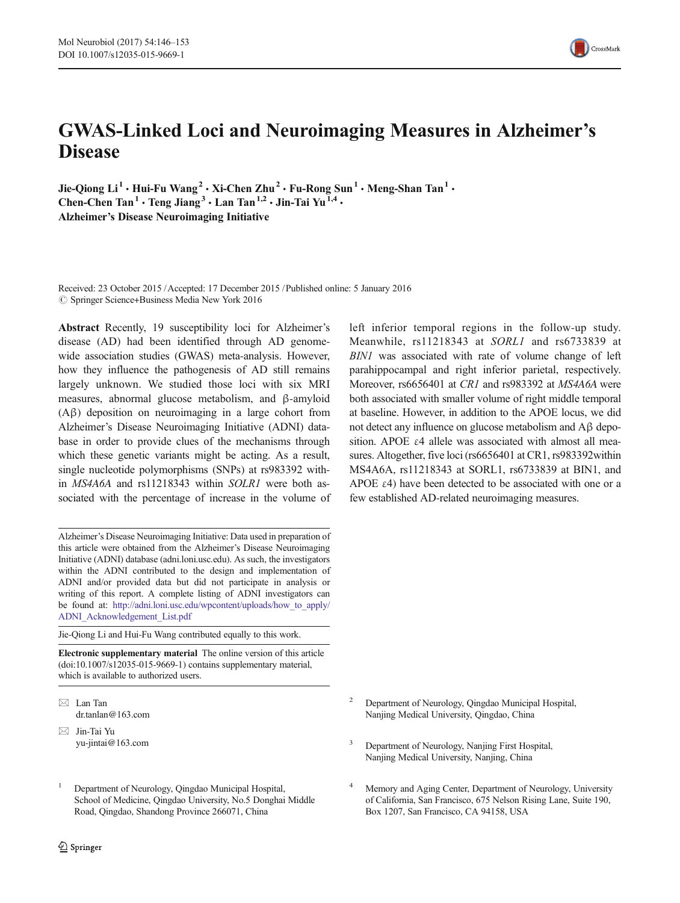# GWAS-Linked Loci and Neuroimaging Measures in Alzheimer's **Disease**

Jie-Oiong  $Li^1 \cdot H$ ui-Fu Wang<sup>2</sup>  $\cdot$  Xi-Chen Zhu<sup>2</sup>  $\cdot$  Fu-Rong Sun<sup>1</sup>  $\cdot$  Meng-Shan Tan<sup>1</sup>  $\cdot$ Chen-Chen Tan<sup>1</sup>  $\cdot$  Teng Jiang<sup>3</sup>  $\cdot$  Lan Tan<sup>1,2</sup>  $\cdot$  Jin-Tai Yu<sup>1,4</sup>  $\cdot$ Alzheimer's Disease Neuroimaging Initiative

Received: 23 October 2015 /Accepted: 17 December 2015 /Published online: 5 January 2016  $\circ$  Springer Science+Business Media New York 2016

Abstract Recently, 19 susceptibility loci for Alzheimer's disease (AD) had been identified through AD genomewide association studies (GWAS) meta-analysis. However, how they influence the pathogenesis of AD still remains largely unknown. We studied those loci with six MRI measures, abnormal glucose metabolism, and β-amyloid (Aβ) deposition on neuroimaging in a large cohort from Alzheimer's Disease Neuroimaging Initiative (ADNI) database in order to provide clues of the mechanisms through which these genetic variants might be acting. As a result, single nucleotide polymorphisms (SNPs) at rs983392 within MS4A6A and rs11218343 within SOLR1 were both associated with the percentage of increase in the volume of

Alzheimer's Disease Neuroimaging Initiative: Data used in preparation of this article were obtained from the Alzheimer's Disease Neuroimaging Initiative (ADNI) database (adni.loni.usc.edu). As such, the investigators within the ADNI contributed to the design and implementation of ADNI and/or provided data but did not participate in analysis or writing of this report. A complete listing of ADNI investigators can be found at: [http://adni.loni.usc.edu/wpcontent/uploads/how\\_to\\_apply/](http://dx.doi.org/http://adni.loni.usc.edu/wpcontent/uploads/how_to_apply/ADNI_Acknowledgement_List.pdf) [ADNI\\_Acknowledgement\\_List.pdf](http://dx.doi.org/http://adni.loni.usc.edu/wpcontent/uploads/how_to_apply/ADNI_Acknowledgement_List.pdf)

Jie-Qiong Li and Hui-Fu Wang contributed equally to this work.

Electronic supplementary material The online version of this article (doi[:10.1007/s12035-015-9669-1](http://dx.doi.org/10.1007/s12035-015-9669-1)) contains supplementary material, which is available to authorized users.

- $\boxtimes$  Lan Tan dr.tanlan@163.com
- $\boxtimes$  Jin-Tai Yu yu-jintai@163.com
- <sup>1</sup> Department of Neurology, Qingdao Municipal Hospital, School of Medicine, Qingdao University, No.5 Donghai Middle Road, Qingdao, Shandong Province 266071, China

left inferior temporal regions in the follow-up study. Meanwhile, rs11218343 at SORL1 and rs6733839 at BIN1 was associated with rate of volume change of left parahippocampal and right inferior parietal, respectively. Moreover, rs6656401 at CR1 and rs983392 at MS4A6A were both associated with smaller volume of right middle temporal at baseline. However, in addition to the APOE locus, we did not detect any influence on glucose metabolism and Aβ deposition. APOE  $\varepsilon$ 4 allele was associated with almost all measures. Altogether, five loci (rs6656401 at CR1, rs983392within MS4A6A, rs11218343 at SORL1, rs6733839 at BIN1, and APOE  $\varepsilon$ 4) have been detected to be associated with one or a few established AD-related neuroimaging measures.

- <sup>2</sup> Department of Neurology, Qingdao Municipal Hospital, Nanjing Medical University, Qingdao, China
- <sup>3</sup> Department of Neurology, Nanjing First Hospital, Nanjing Medical University, Nanjing, China
- Memory and Aging Center, Department of Neurology, University of California, San Francisco, 675 Nelson Rising Lane, Suite 190, Box 1207, San Francisco, CA 94158, USA

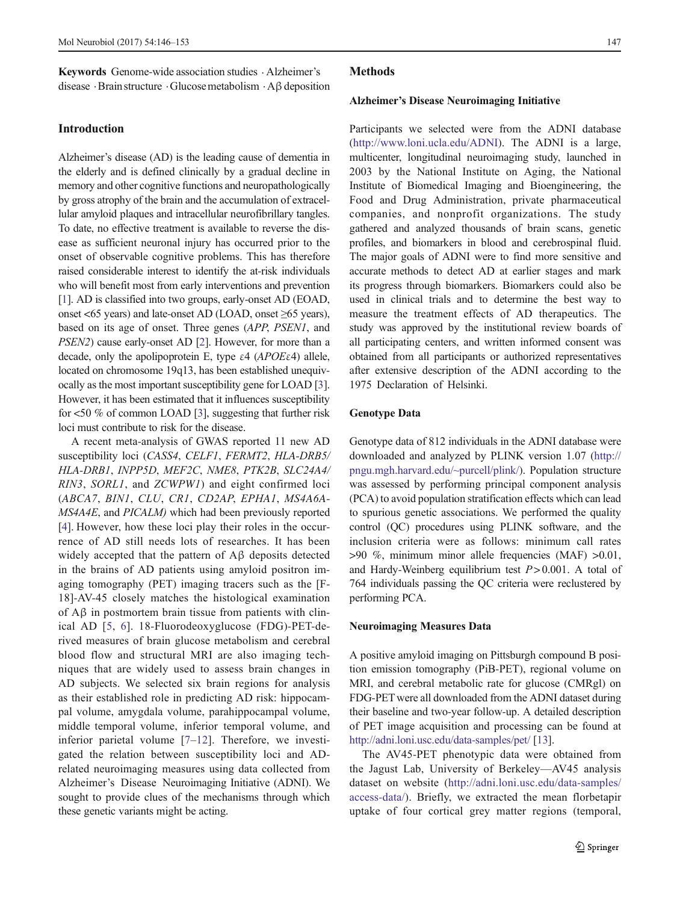Keywords Genome-wide association studies . Alzheimer's disease .Brain structure .Glucosemetabolism .Aβdeposition

## Introduction

Alzheimer's disease (AD) is the leading cause of dementia in the elderly and is defined clinically by a gradual decline in memory and other cognitive functions and neuropathologically by gross atrophy of the brain and the accumulation of extracellular amyloid plaques and intracellular neurofibrillary tangles. To date, no effective treatment is available to reverse the disease as sufficient neuronal injury has occurred prior to the onset of observable cognitive problems. This has therefore raised considerable interest to identify the at-risk individuals who will benefit most from early interventions and prevention [\[1\]](#page-6-0). AD is classified into two groups, early-onset AD (EOAD, onset <65 years) and late-onset AD (LOAD, onset ≥65 years), based on its age of onset. Three genes (APP, PSEN1, and PSEN2) cause early-onset AD [[2\]](#page-7-0). However, for more than a decade, only the apolipoprotein E, type  $\varepsilon$ 4 (APOE $\varepsilon$ 4) allele, located on chromosome 19q13, has been established unequivocally as the most important susceptibility gene for LOAD [[3\]](#page-7-0). However, it has been estimated that it influences susceptibility for <50 % of common LOAD [\[3\]](#page-7-0), suggesting that further risk loci must contribute to risk for the disease.

A recent meta-analysis of GWAS reported 11 new AD susceptibility loci (CASS4, CELF1, FERMT2, HLA-DRB5/ HLA-DRB1, INPP5D, MEF2C, NME8, PTK2B, SLC24A4/ RIN3, SORL1, and ZCWPW1) and eight confirmed loci (ABCA7, BIN1, CLU, CR1, CD2AP, EPHA1, MS4A6A-MS4A4E, and PICALM) which had been previously reported [\[4](#page-7-0)]. However, how these loci play their roles in the occurrence of AD still needs lots of researches. It has been widely accepted that the pattern of Aβ deposits detected in the brains of AD patients using amyloid positron imaging tomography (PET) imaging tracers such as the [F-18]-AV-45 closely matches the histological examination of Aβ in postmortem brain tissue from patients with clinical AD [\[5](#page-7-0), [6\]](#page-7-0). 18-Fluorodeoxyglucose (FDG)-PET-derived measures of brain glucose metabolism and cerebral blood flow and structural MRI are also imaging techniques that are widely used to assess brain changes in AD subjects. We selected six brain regions for analysis as their established role in predicting AD risk: hippocampal volume, amygdala volume, parahippocampal volume, middle temporal volume, inferior temporal volume, and inferior parietal volume [[7](#page-7-0)–[12](#page-7-0)]. Therefore, we investigated the relation between susceptibility loci and ADrelated neuroimaging measures using data collected from Alzheimer's Disease Neuroimaging Initiative (ADNI). We sought to provide clues of the mechanisms through which these genetic variants might be acting.

#### **Methods**

#### Alzheimer's Disease Neuroimaging Initiative

Participants we selected were from the ADNI database [\(http://www.loni.ucla.edu/ADNI](http://www.loni.ucla.edu/ADNI)). The ADNI is a large, multicenter, longitudinal neuroimaging study, launched in 2003 by the National Institute on Aging, the National Institute of Biomedical Imaging and Bioengineering, the Food and Drug Administration, private pharmaceutical companies, and nonprofit organizations. The study gathered and analyzed thousands of brain scans, genetic profiles, and biomarkers in blood and cerebrospinal fluid. The major goals of ADNI were to find more sensitive and accurate methods to detect AD at earlier stages and mark its progress through biomarkers. Biomarkers could also be used in clinical trials and to determine the best way to measure the treatment effects of AD therapeutics. The study was approved by the institutional review boards of all participating centers, and written informed consent was obtained from all participants or authorized representatives after extensive description of the ADNI according to the 1975 Declaration of Helsinki.

## Genotype Data

Genotype data of 812 individuals in the ADNI database were downloaded and analyzed by PLINK version 1.07 ([http://](http://pngu.mgh.harvard.edu/%7Epurcell/plink/) [pngu.mgh.harvard.edu/~purcell/plink/\)](http://pngu.mgh.harvard.edu/%7Epurcell/plink/). Population structure was assessed by performing principal component analysis (PCA) to avoid population stratification effects which can lead to spurious genetic associations. We performed the quality control (QC) procedures using PLINK software, and the inclusion criteria were as follows: minimum call rates >90 %, minimum minor allele frequencies (MAF) >0.01, and Hardy-Weinberg equilibrium test  $P > 0.001$ . A total of 764 individuals passing the QC criteria were reclustered by performing PCA.

#### Neuroimaging Measures Data

A positive amyloid imaging on Pittsburgh compound B position emission tomography (PiB-PET), regional volume on MRI, and cerebral metabolic rate for glucose (CMRgl) on FDG-PET were all downloaded from the ADNI dataset during their baseline and two-year follow-up. A detailed description of PET image acquisition and processing can be found at <http://adni.loni.usc.edu/data-samples/pet/> [\[13](#page-7-0)].

The AV45-PET phenotypic data were obtained from the Jagust Lab, University of Berkeley—AV45 analysis dataset on website ([http://adni.loni.usc.edu/data-samples/](http://adni.loni.usc.edu/data-samples/access-data/) [access-data/\)](http://adni.loni.usc.edu/data-samples/access-data/). Briefly, we extracted the mean florbetapir uptake of four cortical grey matter regions (temporal,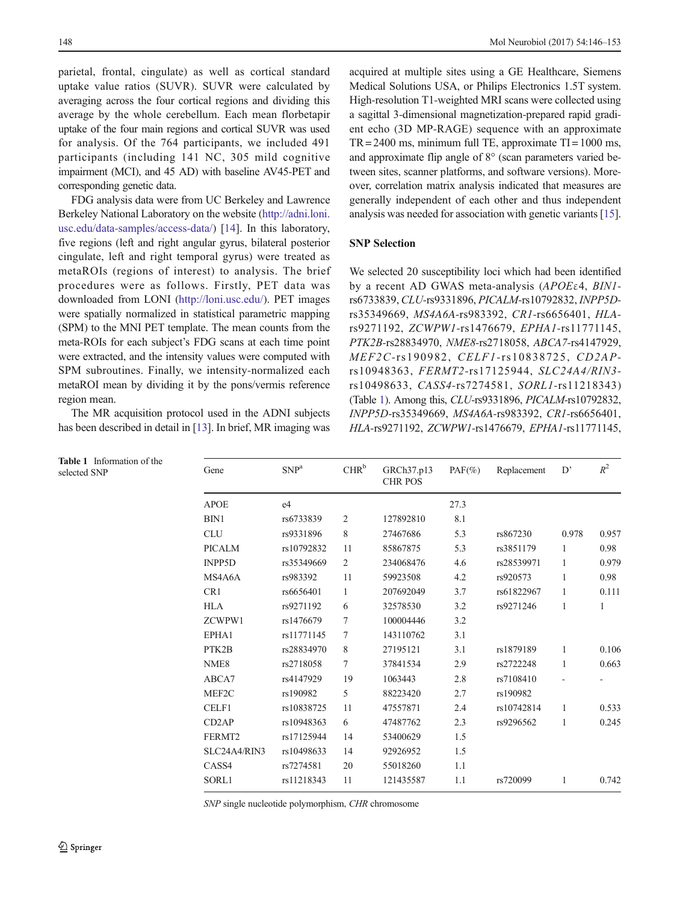<span id="page-2-0"></span>parietal, frontal, cingulate) as well as cortical standard uptake value ratios (SUVR). SUVR were calculated by averaging across the four cortical regions and dividing this average by the whole cerebellum. Each mean florbetapir uptake of the four main regions and cortical SUVR was used for analysis. Of the 764 participants, we included 491 participants (including 141 NC, 305 mild cognitive impairment (MCI), and 45 AD) with baseline AV45-PET and corresponding genetic data.

FDG analysis data were from UC Berkeley and Lawrence Berkeley National Laboratory on the website ([http://adni.loni.](http://adni.loni.usc.edu/data-samples/access-data/) [usc.edu/data-samples/access-data/](http://adni.loni.usc.edu/data-samples/access-data/)) [[14\]](#page-7-0). In this laboratory, five regions (left and right angular gyrus, bilateral posterior cingulate, left and right temporal gyrus) were treated as metaROIs (regions of interest) to analysis. The brief procedures were as follows. Firstly, PET data was downloaded from LONI ([http://loni.usc.edu/\)](http://loni.usc.edu/). PET images were spatially normalized in statistical parametric mapping (SPM) to the MNI PET template. The mean counts from the meta-ROIs for each subject's FDG scans at each time point were extracted, and the intensity values were computed with SPM subroutines. Finally, we intensity-normalized each metaROI mean by dividing it by the pons/vermis reference region mean.

The MR acquisition protocol used in the ADNI subjects has been described in detail in [\[13\]](#page-7-0). In brief, MR imaging was

acquired at multiple sites using a GE Healthcare, Siemens Medical Solutions USA, or Philips Electronics 1.5T system. High-resolution T1-weighted MRI scans were collected using a sagittal 3-dimensional magnetization-prepared rapid gradient echo (3D MP-RAGE) sequence with an approximate  $TR = 2400$  ms, minimum full TE, approximate  $TI = 1000$  ms, and approximate flip angle of 8° (scan parameters varied between sites, scanner platforms, and software versions). Moreover, correlation matrix analysis indicated that measures are generally independent of each other and thus independent analysis was needed for association with genetic variants [[15\]](#page-7-0).

## SNP Selection

We selected 20 susceptibility loci which had been identified by a recent AD GWAS meta-analysis (APOEε4, BIN1 rs6733839,CLU-rs9331896, PICALM-rs10792832, INPP5Drs35349669, MS4A6A-rs983392, CR1-rs6656401, HLArs9271192, ZCWPW1-rs1476679, EPHA1-rs11771145, PTK2B-rs28834970, NME8-rs2718058, ABCA7-rs4147929, MEF2C-rs190982, CELF1-rs10838725, CD2APrs10948363, FERMT2-rs17125944, SLC24A4/RIN3 rs10498633, CASS4-rs7274581, SORL1-rs11218343) (Table 1). Among this, CLU-rs9331896, PICALM-rs10792832, INPP5D-rs35349669, MS4A6A-rs983392, CR1-rs6656401, HLA-rs9271192, ZCWPW1-rs1476679, EPHA1-rs11771145,

| <b>rable 1</b> information of the<br>selected SNP | Gene               | SNP <sup>a</sup> | CHR <sup>b</sup> | GRCh37.p13<br><b>CHR POS</b> | $PAF(\%)$ | Replacement | D'           | $R^2$ |
|---------------------------------------------------|--------------------|------------------|------------------|------------------------------|-----------|-------------|--------------|-------|
|                                                   | <b>APOE</b>        | e <sub>4</sub>   |                  |                              | 27.3      |             |              |       |
|                                                   | BIN1               | rs6733839        | 2                | 127892810                    | 8.1       |             |              |       |
|                                                   | <b>CLU</b>         | rs9331896        | 8                | 27467686                     | 5.3       | rs867230    | 0.978        | 0.957 |
|                                                   | <b>PICALM</b>      | rs10792832       | 11               | 85867875                     | 5.3       | rs3851179   | $\mathbf{1}$ | 0.98  |
|                                                   | INPP5D             | rs35349669       | 2                | 234068476                    | 4.6       | rs28539971  | 1            | 0.979 |
|                                                   | MS4A6A             | rs983392         | 11               | 59923508                     | 4.2       | rs920573    |              | 0.98  |
|                                                   | CR1                | rs6656401        | $\mathbf{1}$     | 207692049                    | 3.7       | rs61822967  | $\mathbf{1}$ | 0.111 |
|                                                   | <b>HLA</b>         | rs9271192        | 6                | 32578530                     | 3.2       | rs9271246   | 1            | 1     |
|                                                   | ZCWPW1             | rs1476679        | 7                | 100004446                    | 3.2       |             |              |       |
|                                                   | EPHA1              | rs11771145       | 7                | 143110762                    | 3.1       |             |              |       |
|                                                   | PTK2B              | rs28834970       | 8                | 27195121                     | 3.1       | rs1879189   | $\mathbf{1}$ | 0.106 |
|                                                   | NME <sub>8</sub>   | rs2718058        | $\tau$           | 37841534                     | 2.9       | rs2722248   | $\mathbf{1}$ | 0.663 |
|                                                   | ABCA7              | rs4147929        | 19               | 1063443                      | 2.8       | rs7108410   |              |       |
|                                                   | MEF2C              | rs190982         | 5                | 88223420                     | 2.7       | rs190982    |              |       |
|                                                   | CELF1              | rs10838725       | 11               | 47557871                     | 2.4       | rs10742814  | 1            | 0.533 |
|                                                   | CD <sub>2</sub> AP | rs10948363       | 6                | 47487762                     | 2.3       | rs9296562   | $\mathbf{1}$ | 0.245 |
|                                                   | FERMT2             | rs17125944       | 14               | 53400629                     | 1.5       |             |              |       |
|                                                   | SLC24A4/RIN3       | rs10498633       | 14               | 92926952                     | 1.5       |             |              |       |
|                                                   | CASS4              | rs7274581        | 20               | 55018260                     | 1.1       |             |              |       |
|                                                   | SORL1              | rs11218343       | 11               | 121435587                    | 1.1       | rs720099    |              | 0.742 |
|                                                   |                    |                  |                  |                              |           |             |              |       |

Table 1 Information of the

SNP single nucleotide polymorphism, CHR chromosome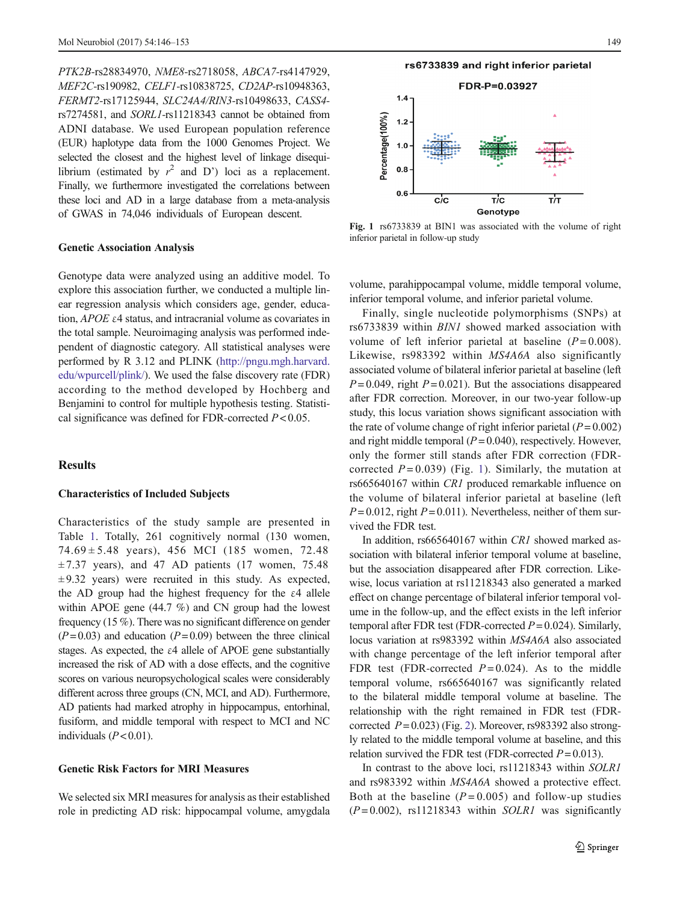PTK2B-rs28834970, NME8-rs2718058, ABCA7-rs4147929, MEF2C-rs190982, CELF1-rs10838725, CD2AP-rs10948363, FERMT2-rs17125944, SLC24A4/RIN3-rs10498633, CASS4 rs7274581, and SORL1-rs11218343 cannot be obtained from ADNI database. We used European population reference (EUR) haplotype data from the 1000 Genomes Project. We selected the closest and the highest level of linkage disequilibrium (estimated by  $r^2$  and D') loci as a replacement. Finally, we furthermore investigated the correlations between these loci and AD in a large database from a meta-analysis of GWAS in 74,046 individuals of European descent.

## Genetic Association Analysis

Genotype data were analyzed using an additive model. To explore this association further, we conducted a multiple linear regression analysis which considers age, gender, education, APOE ε4 status, and intracranial volume as covariates in the total sample. Neuroimaging analysis was performed independent of diagnostic category. All statistical analyses were performed by R 3.12 and PLINK ([http://pngu.mgh.harvard.](http://pngu.mgh.harvard.edu/wpurcell/plink/) [edu/wpurcell/plink/](http://pngu.mgh.harvard.edu/wpurcell/plink/)). We used the false discovery rate (FDR) according to the method developed by Hochberg and Benjamini to control for multiple hypothesis testing. Statistical significance was defined for FDR-corrected  $P < 0.05$ .

# **Results**

## Characteristics of Included Subjects

Characteristics of the study sample are presented in Table [1.](#page-2-0) Totally, 261 cognitively normal (130 women, 74.69 ± 5.48 years), 456 MCI (185 women, 72.48  $\pm$  7.37 years), and 47 AD patients (17 women, 75.48  $\pm$  9.32 years) were recruited in this study. As expected, the AD group had the highest frequency for the  $\varepsilon$ 4 allele within APOE gene (44.7 %) and CN group had the lowest frequency (15 %). There was no significant difference on gender  $(P= 0.03)$  and education  $(P= 0.09)$  between the three clinical stages. As expected, the  $\varepsilon$ 4 allele of APOE gene substantially increased the risk of AD with a dose effects, and the cognitive scores on various neuropsychological scales were considerably different across three groups (CN, MCI, and AD). Furthermore, AD patients had marked atrophy in hippocampus, entorhinal, fusiform, and middle temporal with respect to MCI and NC individuals  $(P< 0.01)$ .

# Genetic Risk Factors for MRI Measures

We selected six MRI measures for analysis as their established role in predicting AD risk: hippocampal volume, amygdala



Fig. 1 rs6733839 at BIN1 was associated with the volume of right inferior parietal in follow-up study

volume, parahippocampal volume, middle temporal volume, inferior temporal volume, and inferior parietal volume.

Finally, single nucleotide polymorphisms (SNPs) at rs6733839 within BIN1 showed marked association with volume of left inferior parietal at baseline  $(P=0.008)$ . Likewise, rs983392 within MS4A6A also significantly associated volume of bilateral inferior parietal at baseline (left  $P = 0.049$ , right  $P = 0.021$ ). But the associations disappeared after FDR correction. Moreover, in our two-year follow-up study, this locus variation shows significant association with the rate of volume change of right inferior parietal ( $P = 0.002$ ) and right middle temporal  $(P = 0.040)$ , respectively. However, only the former still stands after FDR correction (FDRcorrected  $P = 0.039$ ) (Fig. 1). Similarly, the mutation at rs665640167 within CR1 produced remarkable influence on the volume of bilateral inferior parietal at baseline (left  $P = 0.012$ , right  $P = 0.011$ ). Nevertheless, neither of them survived the FDR test.

In addition, rs665640167 within CR1 showed marked association with bilateral inferior temporal volume at baseline, but the association disappeared after FDR correction. Likewise, locus variation at rs11218343 also generated a marked effect on change percentage of bilateral inferior temporal volume in the follow-up, and the effect exists in the left inferior temporal after FDR test (FDR-corrected  $P = 0.024$ ). Similarly, locus variation at rs983392 within MS4A6A also associated with change percentage of the left inferior temporal after FDR test (FDR-corrected  $P = 0.024$ ). As to the middle temporal volume, rs665640167 was significantly related to the bilateral middle temporal volume at baseline. The relationship with the right remained in FDR test (FDRcorrected  $P = 0.023$  $P = 0.023$  $P = 0.023$  (Fig. 2). Moreover, rs983392 also strongly related to the middle temporal volume at baseline, and this relation survived the FDR test (FDR-corrected  $P = 0.013$ ).

In contrast to the above loci, rs11218343 within SOLR1 and rs983392 within MS4A6A showed a protective effect. Both at the baseline  $(P=0.005)$  and follow-up studies  $(P=0.002)$ , rs11218343 within SOLR1 was significantly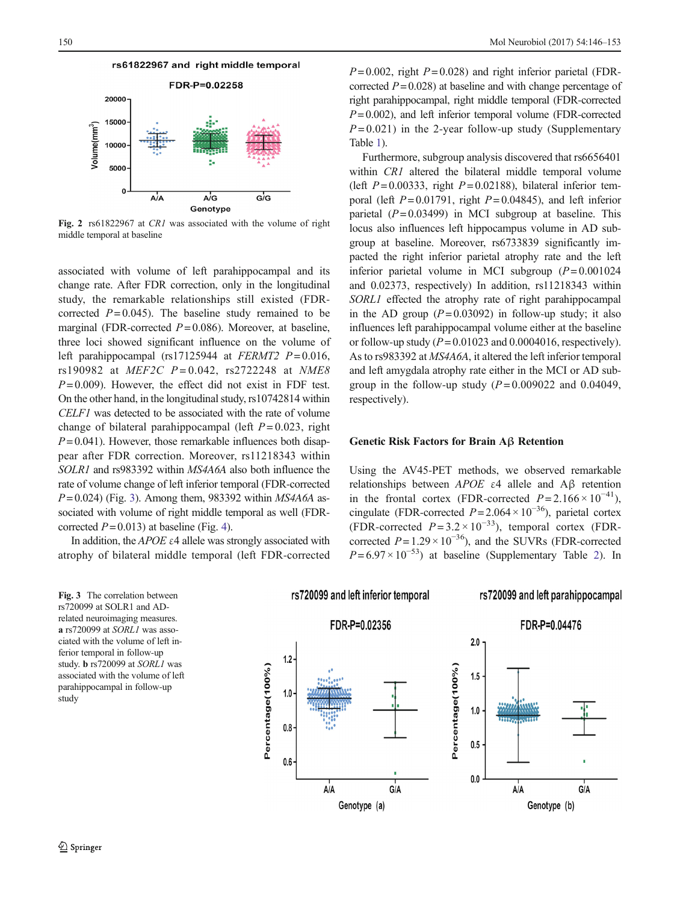<span id="page-4-0"></span>

Fig. 2 rs61822967 at CR1 was associated with the volume of right middle temporal at baseline

associated with volume of left parahippocampal and its change rate. After FDR correction, only in the longitudinal study, the remarkable relationships still existed (FDRcorrected  $P = 0.045$ . The baseline study remained to be marginal (FDR-corrected  $P = 0.086$ ). Moreover, at baseline, three loci showed significant influence on the volume of left parahippocampal (rs17125944 at  $FERMT2 P=0.016$ , rs190982 at  $MEF2C$   $P = 0.042$ , rs2722248 at NME8  $P = 0.009$ ). However, the effect did not exist in FDF test. On the other hand, in the longitudinal study, rs10742814 within CELF1 was detected to be associated with the rate of volume change of bilateral parahippocampal (left  $P = 0.023$ , right  $P = 0.041$ ). However, those remarkable influences both disappear after FDR correction. Moreover, rs11218343 within SOLR1 and rs983392 within MS4A6A also both influence the rate of volume change of left inferior temporal (FDR-corrected  $P = 0.024$ ) (Fig. 3). Among them, 983392 within MS4A6A associated with volume of right middle temporal as well (FDRcorrected  $P = 0.013$ ) at baseline (Fig. [4\)](#page-5-0).

In addition, the  $APOE \varepsilon 4$  allele was strongly associated with atrophy of bilateral middle temporal (left FDR-corrected

Fig. 3 The correlation between rs720099 at SOLR1 and ADrelated neuroimaging measures. a rs720099 at SORL1 was associated with the volume of left inferior temporal in follow-up study. b rs720099 at SORL1 was associated with the volume of left parahippocampal in follow-up study

 $P = 0.002$ , right  $P = 0.028$ ) and right inferior parietal (FDRcorrected  $P = 0.028$ ) at baseline and with change percentage of right parahippocampal, right middle temporal (FDR-corrected  $P = 0.002$ ), and left inferior temporal volume (FDR-corrected  $P = 0.021$ ) in the 2-year follow-up study (Supplementary Table 1).

Furthermore, subgroup analysis discovered that rs6656401 within *CR1* altered the bilateral middle temporal volume (left  $P = 0.00333$ , right  $P = 0.02188$ ), bilateral inferior temporal (left  $P = 0.01791$ , right  $P = 0.04845$ ), and left inferior parietal  $(P= 0.03499)$  in MCI subgroup at baseline. This locus also influences left hippocampus volume in AD subgroup at baseline. Moreover, rs6733839 significantly impacted the right inferior parietal atrophy rate and the left inferior parietal volume in MCI subgroup  $(P= 0.001024)$ and 0.02373, respectively) In addition, rs11218343 within SORL1 effected the atrophy rate of right parahippocampal in the AD group  $(P= 0.03092)$  in follow-up study; it also influences left parahippocampal volume either at the baseline or follow-up study  $(P = 0.01023$  and 0.0004016, respectively). As to rs983392 at MS4A6A, it altered the left inferior temporal and left amygdala atrophy rate either in the MCI or AD subgroup in the follow-up study  $(P=0.009022$  and 0.04049, respectively).

## Genetic Risk Factors for Brain Aβ Retention

Using the AV45-PET methods, we observed remarkable relationships between APOE ε4 allele and Aβ retention in the frontal cortex (FDR-corrected  $P = 2.166 \times 10^{-41}$ ), cingulate (FDR-corrected  $P = 2.064 \times 10^{-36}$ ), parietal cortex (FDR-corrected  $P = 3.2 \times 10^{-33}$ ), temporal cortex (FDRcorrected  $P = 1.29 \times 10^{-36}$ ), and the SUVRs (FDR-corrected  $P = 6.97 \times 10^{-53}$  at baseline (Supplementary Table 2). In

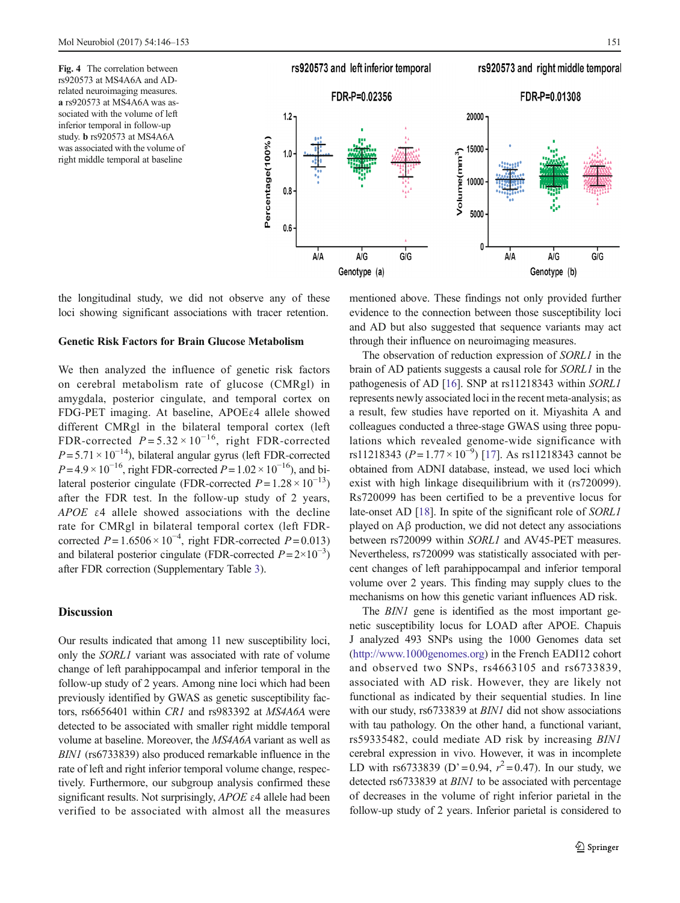<span id="page-5-0"></span>Fig. 4 The correlation between rs920573 at MS4A6A and ADrelated neuroimaging measures. a rs920573 at MS4A6A was associated with the volume of left inferior temporal in follow-up study. b rs920573 at MS4A6A was associated with the volume of right middle temporal at baseline



the longitudinal study, we did not observe any of these loci showing significant associations with tracer retention.

## Genetic Risk Factors for Brain Glucose Metabolism

We then analyzed the influence of genetic risk factors on cerebral metabolism rate of glucose (CMRgl) in amygdala, posterior cingulate, and temporal cortex on FDG-PET imaging. At baseline, APOEε4 allele showed different CMRgl in the bilateral temporal cortex (left FDR-corrected  $P = 5.32 \times 10^{-16}$ , right FDR-corrected  $P = 5.71 \times 10^{-14}$ ), bilateral angular gyrus (left FDR-corrected  $P = 4.9 \times 10^{-16}$ , right FDR-corrected  $P = 1.02 \times 10^{-16}$ ), and bilateral posterior cingulate (FDR-corrected  $P = 1.28 \times 10^{-13}$ ) after the FDR test. In the follow-up study of 2 years, APOE ε4 allele showed associations with the decline rate for CMRgl in bilateral temporal cortex (left FDRcorrected  $P = 1.6506 \times 10^{-4}$ , right FDR-corrected  $P = 0.013$ ) and bilateral posterior cingulate (FDR-corrected  $P = 2 \times 10^{-3}$ ) after FDR correction (Supplementary Table 3).

# Discussion

Our results indicated that among 11 new susceptibility loci, only the *SORL1* variant was associated with rate of volume change of left parahippocampal and inferior temporal in the follow-up study of 2 years. Among nine loci which had been previously identified by GWAS as genetic susceptibility factors, rs6656401 within CR1 and rs983392 at MS4A6A were detected to be associated with smaller right middle temporal volume at baseline. Moreover, the MS4A6A variant as well as BIN1 (rs6733839) also produced remarkable influence in the rate of left and right inferior temporal volume change, respectively. Furthermore, our subgroup analysis confirmed these significant results. Not surprisingly,  $APOE \varepsilon 4$  allele had been verified to be associated with almost all the measures mentioned above. These findings not only provided further evidence to the connection between those susceptibility loci and AD but also suggested that sequence variants may act through their influence on neuroimaging measures.

The observation of reduction expression of SORL1 in the brain of AD patients suggests a causal role for SORL1 in the pathogenesis of AD [\[16](#page-7-0)]. SNP at rs11218343 within SORL1 represents newly associated loci in the recent meta-analysis; as a result, few studies have reported on it. Miyashita A and colleagues conducted a three-stage GWAS using three populations which revealed genome-wide significance with rs11218343 ( $P = 1.77 \times 10^{-9}$ ) [\[17\]](#page-7-0). As rs11218343 cannot be obtained from ADNI database, instead, we used loci which exist with high linkage disequilibrium with it (rs720099). Rs720099 has been certified to be a preventive locus for late-onset AD [[18\]](#page-7-0). In spite of the significant role of *SORL1* played on Aβ production, we did not detect any associations between rs720099 within SORL1 and AV45-PET measures. Nevertheless, rs720099 was statistically associated with percent changes of left parahippocampal and inferior temporal volume over 2 years. This finding may supply clues to the mechanisms on how this genetic variant influences AD risk.

The *BIN1* gene is identified as the most important genetic susceptibility locus for LOAD after APOE. Chapuis J analyzed 493 SNPs using the 1000 Genomes data set [\(http://www.1000genomes.org](http://www.1000genomes.org/)) in the French EADI12 cohort and observed two SNPs, rs4663105 and rs6733839, associated with AD risk. However, they are likely not functional as indicated by their sequential studies. In line with our study, rs6733839 at *BIN1* did not show associations with tau pathology. On the other hand, a functional variant, rs59335482, could mediate AD risk by increasing BIN1 cerebral expression in vivo. However, it was in incomplete LD with rs6733839 (D'=0.94,  $r^2 = 0.47$ ). In our study, we detected rs6733839 at BIN1 to be associated with percentage of decreases in the volume of right inferior parietal in the follow-up study of 2 years. Inferior parietal is considered to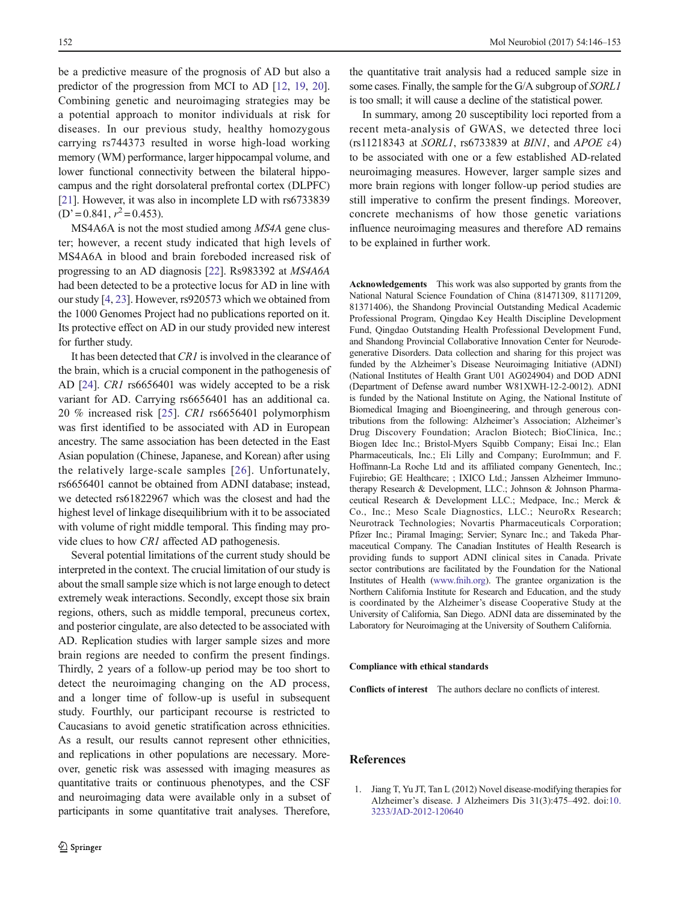<span id="page-6-0"></span>be a predictive measure of the prognosis of AD but also a predictor of the progression from MCI to AD [\[12,](#page-7-0) [19,](#page-7-0) [20\]](#page-7-0). Combining genetic and neuroimaging strategies may be a potential approach to monitor individuals at risk for diseases. In our previous study, healthy homozygous carrying rs744373 resulted in worse high-load working memory (WM) performance, larger hippocampal volume, and lower functional connectivity between the bilateral hippocampus and the right dorsolateral prefrontal cortex (DLPFC) [\[21\]](#page-7-0). However, it was also in incomplete LD with rs6733839  $(D'= 0.841, r^2 = 0.453).$ 

MS4A6A is not the most studied among MS4A gene cluster; however, a recent study indicated that high levels of MS4A6A in blood and brain foreboded increased risk of progressing to an AD diagnosis [[22\]](#page-7-0). Rs983392 at MS4A6A had been detected to be a protective locus for AD in line with our study [\[4,](#page-7-0) [23\]](#page-7-0). However, rs920573 which we obtained from the 1000 Genomes Project had no publications reported on it. Its protective effect on AD in our study provided new interest for further study.

It has been detected that CR1 is involved in the clearance of the brain, which is a crucial component in the pathogenesis of AD [\[24\]](#page-7-0). CR1 rs6656401 was widely accepted to be a risk variant for AD. Carrying rs6656401 has an additional ca. 20 % increased risk [[25\]](#page-7-0). CR1 rs6656401 polymorphism was first identified to be associated with AD in European ancestry. The same association has been detected in the East Asian population (Chinese, Japanese, and Korean) after using the relatively large-scale samples [[26\]](#page-7-0). Unfortunately, rs6656401 cannot be obtained from ADNI database; instead, we detected rs61822967 which was the closest and had the highest level of linkage disequilibrium with it to be associated with volume of right middle temporal. This finding may provide clues to how CR1 affected AD pathogenesis.

Several potential limitations of the current study should be interpreted in the context. The crucial limitation of our study is about the small sample size which is not large enough to detect extremely weak interactions. Secondly, except those six brain regions, others, such as middle temporal, precuneus cortex, and posterior cingulate, are also detected to be associated with AD. Replication studies with larger sample sizes and more brain regions are needed to confirm the present findings. Thirdly, 2 years of a follow-up period may be too short to detect the neuroimaging changing on the AD process, and a longer time of follow-up is useful in subsequent study. Fourthly, our participant recourse is restricted to Caucasians to avoid genetic stratification across ethnicities. As a result, our results cannot represent other ethnicities, and replications in other populations are necessary. Moreover, genetic risk was assessed with imaging measures as quantitative traits or continuous phenotypes, and the CSF and neuroimaging data were available only in a subset of participants in some quantitative trait analyses. Therefore,

the quantitative trait analysis had a reduced sample size in some cases. Finally, the sample for the G/A subgroup of SORL1 is too small; it will cause a decline of the statistical power.

In summary, among 20 susceptibility loci reported from a recent meta-analysis of GWAS, we detected three loci (rs11218343 at SORL1, rs6733839 at BIN1, and APOE ε4) to be associated with one or a few established AD-related neuroimaging measures. However, larger sample sizes and more brain regions with longer follow-up period studies are still imperative to confirm the present findings. Moreover, concrete mechanisms of how those genetic variations influence neuroimaging measures and therefore AD remains to be explained in further work.

Acknowledgements This work was also supported by grants from the National Natural Science Foundation of China (81471309, 81171209, 81371406), the Shandong Provincial Outstanding Medical Academic Professional Program, Qingdao Key Health Discipline Development Fund, Qingdao Outstanding Health Professional Development Fund, and Shandong Provincial Collaborative Innovation Center for Neurodegenerative Disorders. Data collection and sharing for this project was funded by the Alzheimer's Disease Neuroimaging Initiative (ADNI) (National Institutes of Health Grant U01 AG024904) and DOD ADNI (Department of Defense award number W81XWH-12-2-0012). ADNI is funded by the National Institute on Aging, the National Institute of Biomedical Imaging and Bioengineering, and through generous contributions from the following: Alzheimer's Association; Alzheimer's Drug Discovery Foundation; Araclon Biotech; BioClinica, Inc.; Biogen Idec Inc.; Bristol-Myers Squibb Company; Eisai Inc.; Elan Pharmaceuticals, Inc.; Eli Lilly and Company; EuroImmun; and F. Hoffmann-La Roche Ltd and its affiliated company Genentech, Inc.; Fujirebio; GE Healthcare; ; IXICO Ltd.; Janssen Alzheimer Immunotherapy Research & Development, LLC.; Johnson & Johnson Pharmaceutical Research & Development LLC.; Medpace, Inc.; Merck & Co., Inc.; Meso Scale Diagnostics, LLC.; NeuroRx Research; Neurotrack Technologies; Novartis Pharmaceuticals Corporation; Pfizer Inc.; Piramal Imaging; Servier; Synarc Inc.; and Takeda Pharmaceutical Company. The Canadian Institutes of Health Research is providing funds to support ADNI clinical sites in Canada. Private sector contributions are facilitated by the Foundation for the National Institutes of Health ([www.fnih.org](http://www.fnih.org/)). The grantee organization is the Northern California Institute for Research and Education, and the study is coordinated by the Alzheimer's disease Cooperative Study at the University of California, San Diego. ADNI data are disseminated by the Laboratory for Neuroimaging at the University of Southern California.

#### Compliance with ethical standards

Conflicts of interest The authors declare no conflicts of interest.

# References

1. Jiang T, Yu JT, Tan L (2012) Novel disease-modifying therapies for Alzheimer's disease. J Alzheimers Dis 31(3):475–492. doi:[10.](http://dx.doi.org/10.3233/JAD-2012-120640) [3233/JAD-2012-120640](http://dx.doi.org/10.3233/JAD-2012-120640)